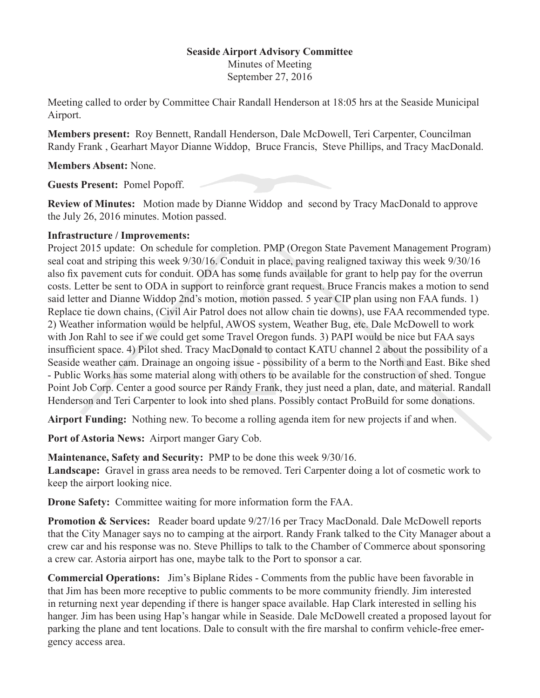## **Seaside Airport Advisory Committee**

Minutes of Meeting September 27, 2016

Meeting called to order by Committee Chair Randall Henderson at 18:05 hrs at the Seaside Municipal Airport.

**Members present:** Roy Bennett, Randall Henderson, Dale McDowell, Teri Carpenter, Councilman Randy Frank , Gearhart Mayor Dianne Widdop, Bruce Francis, Steve Phillips, and Tracy MacDonald.

**Members Absent:** None.

**Guests Present:** Pomel Popoff.

**Review of Minutes:** Motion made by Dianne Widdop and second by Tracy MacDonald to approve the July 26, 2016 minutes. Motion passed.

## **Infrastructure / Improvements:**

Project 2015 update: On schedule for completion. PMP (Oregon State Pavement Management Program) seal coat and striping this week 9/30/16. Conduit in place, paving realigned taxiway this week 9/30/16 also fix pavement cuts for conduit. ODA has some funds available for grant to help pay for the overrun costs. Letter be sent to ODA in support to reinforce grant request. Bruce Francis makes a motion to send said letter and Dianne Widdop 2nd's motion, motion passed. 5 year CIP plan using non FAA funds. 1) Replace tie down chains, (Civil Air Patrol does not allow chain tie downs), use FAA recommended type. 2) Weather information would be helpful, AWOS system, Weather Bug, etc. Dale McDowell to work with Jon Rahl to see if we could get some Travel Oregon funds. 3) PAPI would be nice but FAA says insufficient space. 4) Pilot shed. Tracy MacDonald to contact KATU channel 2 about the possibility of a Seaside weather cam. Drainage an ongoing issue - possibility of a berm to the North and East. Bike shed - Public Works has some material along with others to be available for the construction of shed. Tongue Point Job Corp. Center a good source per Randy Frank, they just need a plan, date, and material. Randall Henderson and Teri Carpenter to look into shed plans. Possibly contact ProBuild for some donations.

**Airport Funding:** Nothing new. To become a rolling agenda item for new projects if and when.

**Port of Astoria News:** Airport manger Gary Cob.

**Maintenance, Safety and Security:** PMP to be done this week 9/30/16. **Landscape:** Gravel in grass area needs to be removed. Teri Carpenter doing a lot of cosmetic work to keep the airport looking nice.

**Drone Safety:** Committee waiting for more information form the FAA.

**Promotion & Services:** Reader board update  $9/27/16$  per Tracy MacDonald. Dale McDowell reports that the City Manager says no to camping at the airport. Randy Frank talked to the City Manager about a crew car and his response was no. Steve Phillips to talk to the Chamber of Commerce about sponsoring a crew car. Astoria airport has one, maybe talk to the Port to sponsor a car.

**Commercial Operations:** Jim's Biplane Rides - Comments from the public have been favorable in that Jim has been more receptive to public comments to be more community friendly. Jim interested in returning next year depending if there is hanger space available. Hap Clark interested in selling his hanger. Jim has been using Hap's hangar while in Seaside. Dale McDowell created a proposed layout for parking the plane and tent locations. Dale to consult with the fire marshal to confirm vehicle-free emergency access area.